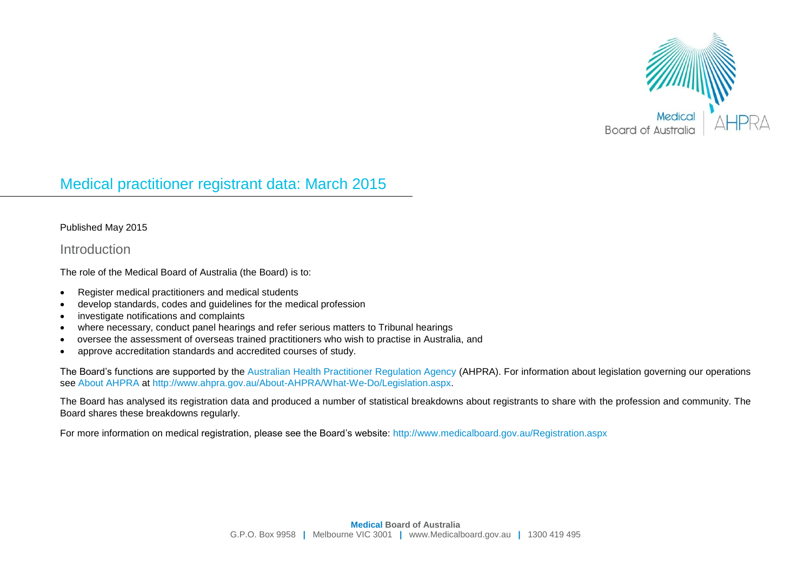

# Medical practitioner registrant data: March 2015

#### Published May 2015

#### **Introduction**

The role of the Medical Board of Australia (the Board) is to:

- Register medical practitioners and medical students
- develop standards, codes and guidelines for the medical profession
- investigate notifications and complaints
- where necessary, conduct panel hearings and refer serious matters to Tribunal hearings
- oversee the assessment of overseas trained practitioners who wish to practise in Australia, and
- approve accreditation standards and accredited courses of study.

The Board's functions are supported by the [Australian Health Practitioner Regulation Agency](http://www.ahpra.gov.au/) (AHPRA). For information about legislation governing our operations see [About AHPRA](http://www.ahpra.gov.au/About-AHPRA/What-We-Do/Legislation.aspx) at [http://www.ahpra.gov.au/About-AHPRA/What-We-Do/Legislation.aspx.](http://www.ahpra.gov.au/About-AHPRA/What-We-Do/Legislation.aspx)

The Board has analysed its registration data and produced a number of statistical breakdowns about registrants to share with the profession and community. The Board shares these breakdowns regularly.

For more information on medical registration, please see the Board's website:<http://www.medicalboard.gov.au/Registration.aspx>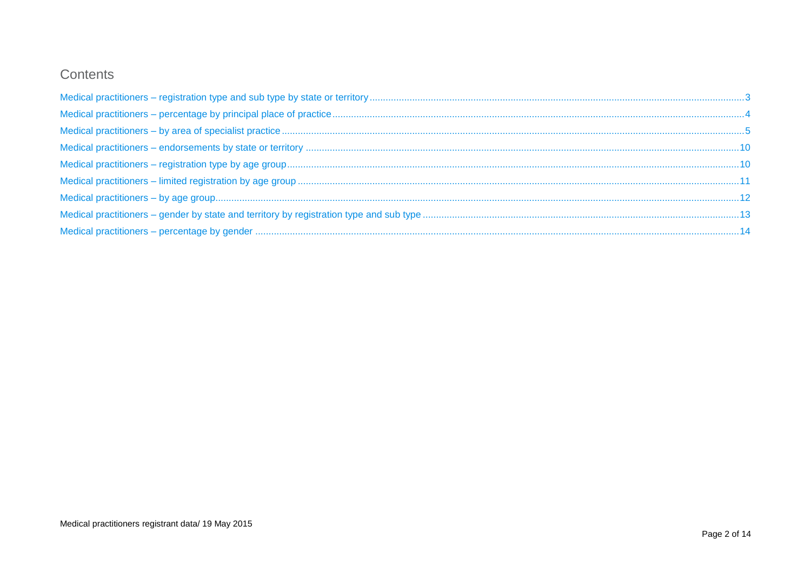# Contents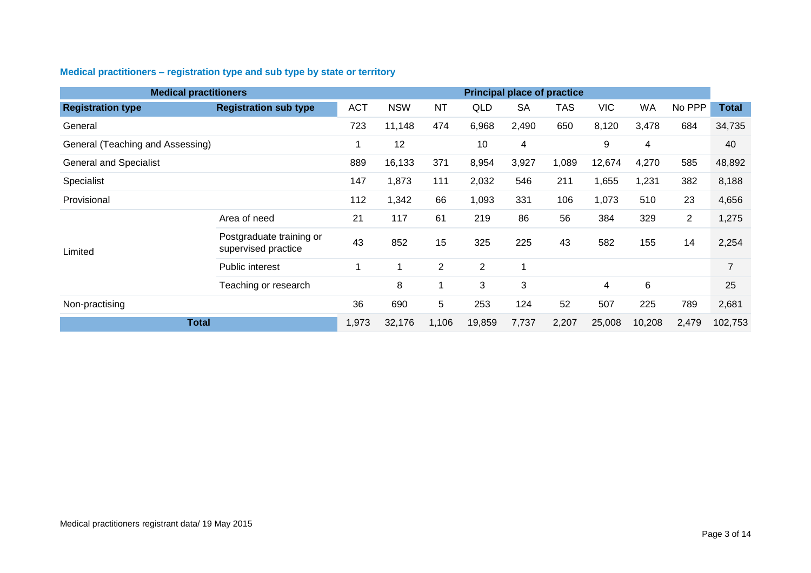# <span id="page-2-0"></span>**Medical practitioners – registration type and sub type by state or territory**

| <b>Medical practitioners</b>     |                                                 |            |            |                |                |           | <b>Principal place of practice</b> |                         |           |                |                |
|----------------------------------|-------------------------------------------------|------------|------------|----------------|----------------|-----------|------------------------------------|-------------------------|-----------|----------------|----------------|
| <b>Registration type</b>         | <b>Registration sub type</b>                    | <b>ACT</b> | <b>NSW</b> | <b>NT</b>      | <b>QLD</b>     | <b>SA</b> | <b>TAS</b>                         | <b>VIC</b>              | <b>WA</b> | No PPP         | <b>Total</b>   |
| General                          |                                                 | 723        | 11,148     | 474            | 6,968          | 2,490     | 650                                | 8,120                   | 3,478     | 684            | 34,735         |
| General (Teaching and Assessing) |                                                 | 1          | 12         |                | 10             | 4         |                                    | 9                       | 4         |                | 40             |
| <b>General and Specialist</b>    |                                                 | 889        | 16,133     | 371            | 8,954          | 3,927     | 1,089                              | 12,674                  | 4,270     | 585            | 48,892         |
| Specialist                       |                                                 | 147        | 1,873      | 111            | 2,032          | 546       | 211                                | 1,655                   | 1,231     | 382            | 8,188          |
| Provisional                      |                                                 | 112        | 1,342      | 66             | 1,093          | 331       | 106                                | 1,073                   | 510       | 23             | 4,656          |
|                                  | Area of need                                    | 21         | 117        | 61             | 219            | 86        | 56                                 | 384                     | 329       | $\overline{2}$ | 1,275          |
| Limited                          | Postgraduate training or<br>supervised practice | 43         | 852        | 15             | 325            | 225       | 43                                 | 582                     | 155       | 14             | 2,254          |
|                                  | Public interest                                 |            |            | $\overline{2}$ | $\overline{2}$ |           |                                    |                         |           |                | $\overline{7}$ |
|                                  | Teaching or research                            |            | 8          |                | 3              | 3         |                                    | $\overline{\mathbf{4}}$ | 6         |                | 25             |
| Non-practising                   |                                                 | 36         | 690        | 5              | 253            | 124       | 52                                 | 507                     | 225       | 789            | 2,681          |
| <b>Total</b>                     |                                                 | 1,973      | 32,176     | 1,106          | 19,859         | 7,737     | 2,207                              | 25,008                  | 10,208    | 2,479          | 102,753        |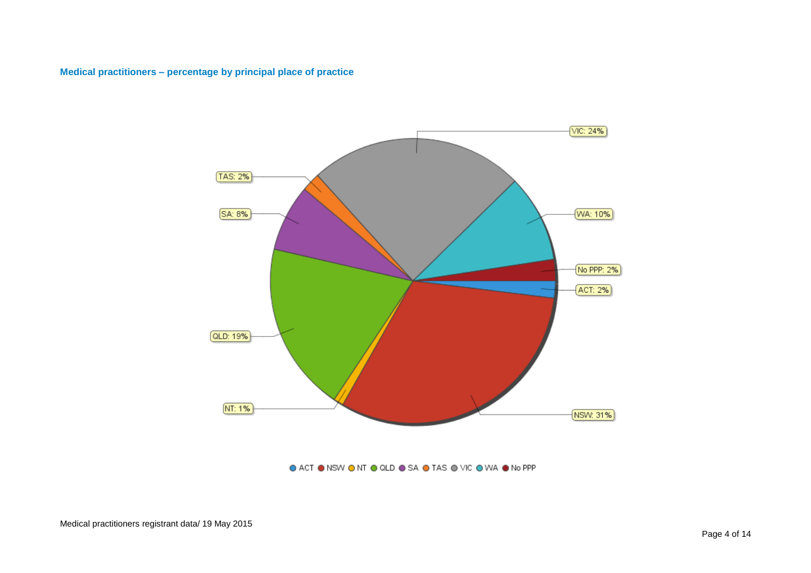#### <span id="page-3-0"></span>**Medical practitioners – percentage by principal place of practice**



● ACT ● NSW ● NT ● QLD ● SA ● TAS ● VIC ● WA ● No PPP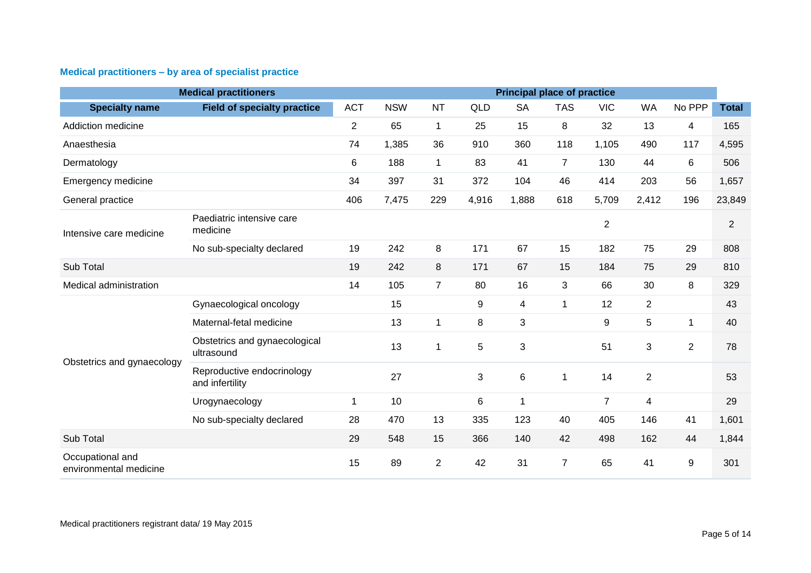# <span id="page-4-0"></span>**Medical practitioners – by area of specialist practice**

| <b>Medical practitioners</b><br><b>Principal place of practice</b> |                                               |                |            |                |                |           |                |                |                |                |                |
|--------------------------------------------------------------------|-----------------------------------------------|----------------|------------|----------------|----------------|-----------|----------------|----------------|----------------|----------------|----------------|
| <b>Specialty name</b>                                              | <b>Field of specialty practice</b>            | <b>ACT</b>     | <b>NSW</b> | <b>NT</b>      | QLD            | <b>SA</b> | <b>TAS</b>     | <b>VIC</b>     | <b>WA</b>      | No PPP         | <b>Total</b>   |
| Addiction medicine                                                 |                                               | $\overline{2}$ | 65         | $\mathbf{1}$   | 25             | 15        | 8              | 32             | 13             | $\overline{4}$ | 165            |
| Anaesthesia                                                        |                                               | 74             | 1,385      | 36             | 910            | 360       | 118            | 1,105          | 490            | 117            | 4,595          |
| Dermatology                                                        |                                               | 6              | 188        | $\mathbf{1}$   | 83             | 41        | $\overline{7}$ | 130            | 44             | 6              | 506            |
| Emergency medicine                                                 |                                               | 34             | 397        | 31             | 372            | 104       | 46             | 414            | 203            | 56             | 1,657          |
| General practice                                                   |                                               | 406            | 7,475      | 229            | 4,916          | 1,888     | 618            | 5,709          | 2,412          | 196            | 23,849         |
| Intensive care medicine                                            | Paediatric intensive care<br>medicine         |                |            |                |                |           |                | $\overline{2}$ |                |                | $\overline{2}$ |
|                                                                    | No sub-specialty declared                     | 19             | 242        | 8              | 171            | 67        | 15             | 182            | 75             | 29             | 808            |
| Sub Total                                                          |                                               | 19             | 242        | 8              | 171            | 67        | 15             | 184            | 75             | 29             | 810            |
| Medical administration                                             |                                               | 14             | 105        | $\overline{7}$ | 80             | 16        | 3              | 66             | 30             | 8              | 329            |
|                                                                    | Gynaecological oncology                       |                | 15         |                | 9              | 4         | $\mathbf 1$    | 12             | $\overline{2}$ |                | 43             |
|                                                                    | Maternal-fetal medicine                       |                | 13         | 1              | 8              | 3         |                | 9              | 5              | 1              | 40             |
| Obstetrics and gynaecology                                         | Obstetrics and gynaecological<br>ultrasound   |                | 13         | 1              | $\overline{5}$ | 3         |                | 51             | 3              | $\overline{2}$ | 78             |
|                                                                    | Reproductive endocrinology<br>and infertility |                | 27         |                | $\mathbf{3}$   | 6         | 1              | 14             | $\overline{2}$ |                | 53             |
|                                                                    | Urogynaecology                                | $\mathbf 1$    | 10         |                | 6              | 1         |                | $\overline{7}$ | 4              |                | 29             |
|                                                                    | No sub-specialty declared                     | 28             | 470        | 13             | 335            | 123       | 40             | 405            | 146            | 41             | 1,601          |
| Sub Total                                                          |                                               | 29             | 548        | 15             | 366            | 140       | 42             | 498            | 162            | 44             | 1,844          |
| Occupational and<br>environmental medicine                         |                                               | 15             | 89         | $\overline{2}$ | 42             | 31        | $\overline{7}$ | 65             | 41             | 9              | 301            |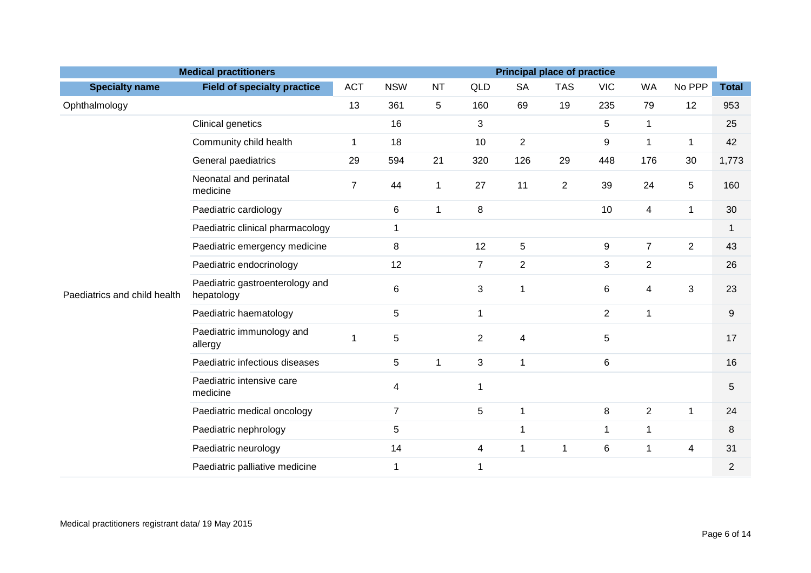|                              | <b>Medical practitioners</b>                  |                |                |              |                |                          | <b>Principal place of practice</b> |                  |                |                |                |
|------------------------------|-----------------------------------------------|----------------|----------------|--------------|----------------|--------------------------|------------------------------------|------------------|----------------|----------------|----------------|
| <b>Specialty name</b>        | <b>Field of specialty practice</b>            | <b>ACT</b>     | <b>NSW</b>     | <b>NT</b>    | QLD            | <b>SA</b>                | <b>TAS</b>                         | <b>VIC</b>       | <b>WA</b>      | No PPP         | <b>Total</b>   |
| Ophthalmology                |                                               | 13             | 361            | 5            | 160            | 69                       | 19                                 | 235              | 79             | 12             | 953            |
|                              | Clinical genetics                             |                | 16             |              | $\mathbf{3}$   |                          |                                    | 5                | $\mathbf{1}$   |                | 25             |
|                              | Community child health                        | 1              | 18             |              | 10             | $\overline{2}$           |                                    | $\boldsymbol{9}$ | $\mathbf{1}$   | 1              | 42             |
|                              | General paediatrics                           | 29             | 594            | 21           | 320            | 126                      | 29                                 | 448              | 176            | 30             | 1,773          |
|                              | Neonatal and perinatal<br>medicine            | $\overline{7}$ | 44             | $\mathbf{1}$ | 27             | 11                       | $\overline{2}$                     | 39               | 24             | 5              | 160            |
|                              | Paediatric cardiology                         |                | 6              | $\mathbf{1}$ | 8              |                          |                                    | 10               | $\overline{4}$ | $\mathbf{1}$   | 30             |
|                              | Paediatric clinical pharmacology              |                | $\mathbf 1$    |              |                |                          |                                    |                  |                |                | $\mathbf{1}$   |
|                              | Paediatric emergency medicine                 |                | 8              |              | 12             | $\sqrt{5}$               |                                    | 9                | $\overline{7}$ | $\overline{2}$ | 43             |
|                              | Paediatric endocrinology                      |                | 12             |              | $\overline{7}$ | $\overline{2}$           |                                    | 3                | $\overline{2}$ |                | 26             |
| Paediatrics and child health | Paediatric gastroenterology and<br>hepatology |                | $\,6$          |              | $\mathbf{3}$   | $\mathbf{1}$             |                                    | 6                | 4              | 3              | 23             |
|                              | Paediatric haematology                        |                | 5              |              | $\mathbf{1}$   |                          |                                    | $\overline{2}$   | $\mathbf{1}$   |                | 9              |
|                              | Paediatric immunology and<br>allergy          | 1              | 5              |              | $\overline{2}$ | $\overline{\mathcal{A}}$ |                                    | 5                |                |                | 17             |
|                              | Paediatric infectious diseases                |                | 5              | $\mathbf{1}$ | 3              | $\mathbf{1}$             |                                    | 6                |                |                | 16             |
|                              | Paediatric intensive care<br>medicine         |                | 4              |              | $\mathbf 1$    |                          |                                    |                  |                |                | 5              |
|                              | Paediatric medical oncology                   |                | $\overline{7}$ |              | $\overline{5}$ | $\mathbf{1}$             |                                    | 8                | $\overline{2}$ | $\mathbf{1}$   | 24             |
|                              | Paediatric nephrology                         |                | 5              |              |                | 1                        |                                    | $\mathbf{1}$     | $\mathbf{1}$   |                | 8              |
|                              | Paediatric neurology                          |                | 14             |              | $\overline{4}$ | 1                        | 1                                  | $\,6$            | $\mathbf{1}$   | 4              | 31             |
|                              | Paediatric palliative medicine                |                | $\mathbf{1}$   |              | $\mathbf 1$    |                          |                                    |                  |                |                | $\overline{2}$ |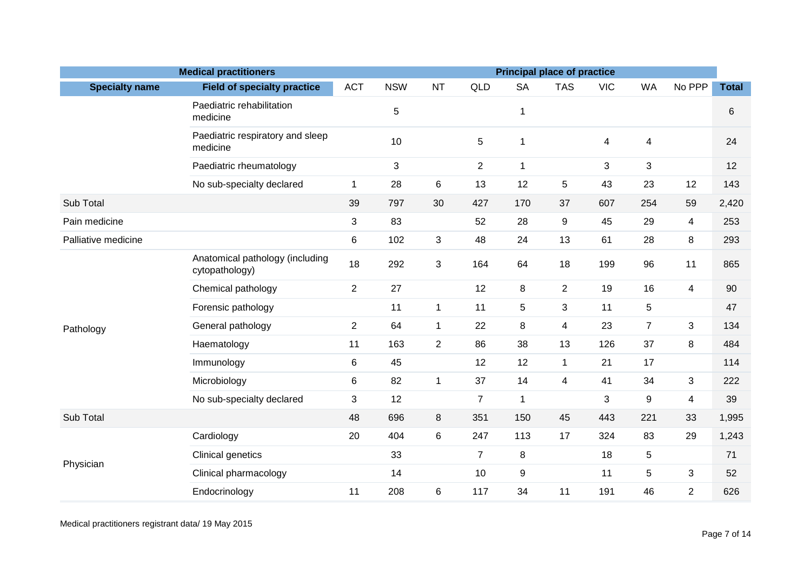| <b>Medical practitioners</b><br><b>Principal place of practice</b> |                                                   |                |            |                |                |                  |                         |            |                |                |              |
|--------------------------------------------------------------------|---------------------------------------------------|----------------|------------|----------------|----------------|------------------|-------------------------|------------|----------------|----------------|--------------|
| <b>Specialty name</b>                                              | <b>Field of specialty practice</b>                | <b>ACT</b>     | <b>NSW</b> | <b>NT</b>      | QLD            | <b>SA</b>        | <b>TAS</b>              | <b>VIC</b> | <b>WA</b>      | No PPP         | <b>Total</b> |
|                                                                    | Paediatric rehabilitation<br>medicine             |                | 5          |                |                | $\mathbf{1}$     |                         |            |                |                | 6            |
|                                                                    | Paediatric respiratory and sleep<br>medicine      |                | 10         |                | $\overline{5}$ | $\mathbf{1}$     |                         | 4          | 4              |                | 24           |
|                                                                    | Paediatric rheumatology                           |                | 3          |                | $\overline{2}$ | $\mathbf{1}$     |                         | 3          | 3              |                | 12           |
|                                                                    | No sub-specialty declared                         | $\mathbf{1}$   | 28         | 6              | 13             | 12               | 5                       | 43         | 23             | 12             | 143          |
| Sub Total                                                          |                                                   | 39             | 797        | 30             | 427            | 170              | 37                      | 607        | 254            | 59             | 2,420        |
| Pain medicine                                                      |                                                   | 3              | 83         |                | 52             | 28               | $\boldsymbol{9}$        | 45         | 29             | 4              | 253          |
| Palliative medicine                                                |                                                   | 6              | 102        | $\mathfrak{S}$ | 48             | 24               | 13                      | 61         | 28             | $\bf 8$        | 293          |
|                                                                    | Anatomical pathology (including<br>cytopathology) | 18             | 292        | 3              | 164            | 64               | 18                      | 199        | 96             | 11             | 865          |
|                                                                    | Chemical pathology                                | $\overline{2}$ | 27         |                | 12             | 8                | $\overline{2}$          | 19         | 16             | $\overline{4}$ | 90           |
|                                                                    | Forensic pathology                                |                | 11         | $\mathbf{1}$   | 11             | 5                | 3                       | 11         | 5              |                | 47           |
| Pathology                                                          | General pathology                                 | $\overline{2}$ | 64         | $\mathbf{1}$   | 22             | $\,8\,$          | $\overline{\mathbf{4}}$ | 23         | $\overline{7}$ | $\mathfrak{S}$ | 134          |
|                                                                    | Haematology                                       | 11             | 163        | $\overline{2}$ | 86             | 38               | 13                      | 126        | 37             | 8              | 484          |
|                                                                    | Immunology                                        | 6              | 45         |                | 12             | 12               | $\mathbf{1}$            | 21         | 17             |                | 114          |
|                                                                    | Microbiology                                      | 6              | 82         | $\mathbf{1}$   | 37             | 14               | $\overline{4}$          | 41         | 34             | 3              | 222          |
|                                                                    | No sub-specialty declared                         | 3              | 12         |                | $\overline{7}$ | $\mathbf{1}$     |                         | 3          | 9              | $\overline{4}$ | 39           |
| Sub Total                                                          |                                                   | 48             | 696        | 8              | 351            | 150              | 45                      | 443        | 221            | 33             | 1,995        |
|                                                                    | Cardiology                                        | 20             | 404        | 6              | 247            | 113              | 17                      | 324        | 83             | 29             | 1,243        |
| Physician                                                          | Clinical genetics                                 |                | 33         |                | $\overline{7}$ | 8                |                         | 18         | 5              |                | 71           |
|                                                                    | Clinical pharmacology                             |                | 14         |                | 10             | $\boldsymbol{9}$ |                         | 11         | 5              | 3              | 52           |
|                                                                    | Endocrinology                                     | 11             | 208        | 6              | 117            | 34               | 11                      | 191        | 46             | $\overline{2}$ | 626          |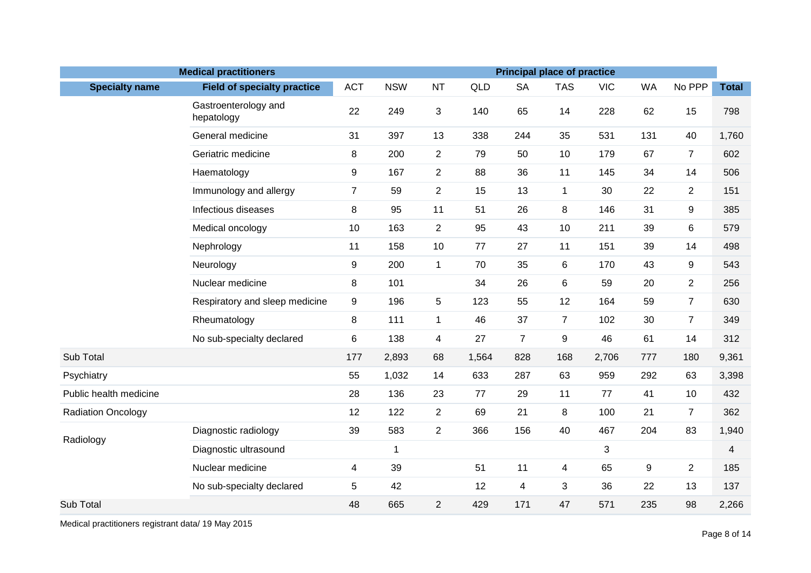|                           | <b>Medical practitioners</b>       |                |             |                |       |                | <b>Principal place of practice</b> |            |           |                                                                                                                                                                                                                                                                                                 |              |  |  |  |  |
|---------------------------|------------------------------------|----------------|-------------|----------------|-------|----------------|------------------------------------|------------|-----------|-------------------------------------------------------------------------------------------------------------------------------------------------------------------------------------------------------------------------------------------------------------------------------------------------|--------------|--|--|--|--|
| <b>Specialty name</b>     | <b>Field of specialty practice</b> | <b>ACT</b>     | <b>NSW</b>  | <b>NT</b>      | QLD   | <b>SA</b>      | <b>TAS</b>                         | <b>VIC</b> | <b>WA</b> | No PPP                                                                                                                                                                                                                                                                                          | <b>Total</b> |  |  |  |  |
|                           | Gastroenterology and<br>hepatology | 22             | 249         | 3              | 140   | 65             | 14                                 | 228        | 62        | 15<br>40<br>67<br>$\overline{7}$<br>34<br>14<br>22<br>$\overline{2}$<br>31<br>9<br>39<br>6<br>39<br>14<br>43<br>9<br>20<br>$\overline{c}$<br>59<br>$\overline{7}$<br>30<br>$\overline{7}$<br>61<br>14<br>180<br>63<br>41<br>10<br>21<br>$\overline{7}$<br>83<br>9<br>$\overline{2}$<br>22<br>13 | 798          |  |  |  |  |
|                           | General medicine                   | 31             | 397         | 13             | 338   | 244            | 35                                 | 531        | 131       |                                                                                                                                                                                                                                                                                                 | 1,760        |  |  |  |  |
|                           | Geriatric medicine                 | 8              | 200         | $\overline{2}$ | 79    | 50             | 10                                 | 179        |           |                                                                                                                                                                                                                                                                                                 | 602          |  |  |  |  |
|                           | Haematology                        | 9              | 167         | $\overline{2}$ | 88    | 36             | 11                                 | 145        |           |                                                                                                                                                                                                                                                                                                 | 506          |  |  |  |  |
|                           | Immunology and allergy             | $\overline{7}$ | 59          | $\overline{2}$ | 15    | 13             | $\mathbf 1$                        | 30         |           |                                                                                                                                                                                                                                                                                                 | 151          |  |  |  |  |
|                           | Infectious diseases                | 8              | 95          | 11             | 51    | 26             | 8                                  | 146        |           |                                                                                                                                                                                                                                                                                                 | 385          |  |  |  |  |
|                           | Medical oncology                   | 10             | 163         | $\overline{2}$ | 95    | 43             | 10                                 | 211        |           |                                                                                                                                                                                                                                                                                                 | 579          |  |  |  |  |
|                           | Nephrology                         | 11             | 158         | 10             | 77    | 27             | 11                                 | 151        |           |                                                                                                                                                                                                                                                                                                 | 498          |  |  |  |  |
|                           | Neurology                          | 9              | 200         | $\mathbf 1$    | 70    | 35             | 6                                  | 170        |           |                                                                                                                                                                                                                                                                                                 | 543          |  |  |  |  |
|                           | Nuclear medicine                   | 8              | 101         |                | 34    | 26             | 6                                  | 59         |           |                                                                                                                                                                                                                                                                                                 | 256          |  |  |  |  |
|                           | Respiratory and sleep medicine     | $9\,$          | 196         | 5              | 123   | 55             | 12                                 | 164        |           |                                                                                                                                                                                                                                                                                                 | 630          |  |  |  |  |
|                           | Rheumatology                       | 8              | 111         | $\mathbf{1}$   | 46    | 37             | $\overline{7}$                     | 102        |           |                                                                                                                                                                                                                                                                                                 | 349          |  |  |  |  |
|                           | No sub-specialty declared          | 6              | 138         | $\overline{4}$ | 27    | $\overline{7}$ | 9                                  | 46         |           |                                                                                                                                                                                                                                                                                                 | 312          |  |  |  |  |
| Sub Total                 |                                    | 177            | 2,893       | 68             | 1,564 | 828            | 168                                | 2,706      | 777       |                                                                                                                                                                                                                                                                                                 | 9,361        |  |  |  |  |
| Psychiatry                |                                    | 55             | 1,032       | 14             | 633   | 287            | 63                                 | 959        | 292       |                                                                                                                                                                                                                                                                                                 | 3,398        |  |  |  |  |
| Public health medicine    |                                    | 28             | 136         | 23             | 77    | 29             | 11                                 | 77         |           |                                                                                                                                                                                                                                                                                                 | 432          |  |  |  |  |
| <b>Radiation Oncology</b> |                                    | 12             | 122         | $\overline{2}$ | 69    | 21             | 8                                  | 100        |           |                                                                                                                                                                                                                                                                                                 | 362          |  |  |  |  |
| Radiology                 | Diagnostic radiology               | 39             | 583         | $\overline{2}$ | 366   | 156            | 40                                 | 467        | 204       |                                                                                                                                                                                                                                                                                                 | 1,940        |  |  |  |  |
|                           | Diagnostic ultrasound              |                | $\mathbf 1$ |                |       |                |                                    | 3          |           |                                                                                                                                                                                                                                                                                                 | 4            |  |  |  |  |
|                           | Nuclear medicine                   | $\overline{4}$ | 39          |                | 51    | 11             | $\overline{4}$                     | 65         |           |                                                                                                                                                                                                                                                                                                 | 185          |  |  |  |  |
|                           | No sub-specialty declared          | 5              | 42          |                | 12    | 4              | 3                                  | 36         |           |                                                                                                                                                                                                                                                                                                 | 137          |  |  |  |  |
| Sub Total                 |                                    | 48             | 665         | $\overline{2}$ | 429   | 171            | 47                                 | 571        | 235       | 98                                                                                                                                                                                                                                                                                              | 2,266        |  |  |  |  |

Medical practitioners registrant data/ 19 May 2015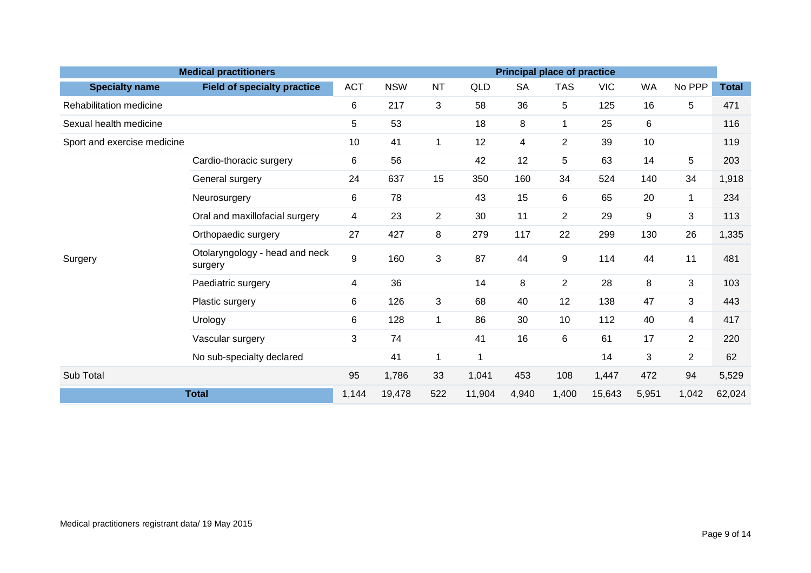|                             | <b>Medical practitioners</b>              |            |            |                |                |           | <b>Principal place of practice</b> |            |           |                |              |  |  |  |  |
|-----------------------------|-------------------------------------------|------------|------------|----------------|----------------|-----------|------------------------------------|------------|-----------|----------------|--------------|--|--|--|--|
| <b>Specialty name</b>       | <b>Field of specialty practice</b>        | <b>ACT</b> | <b>NSW</b> | <b>NT</b>      | QLD            | <b>SA</b> | <b>TAS</b>                         | <b>VIC</b> | <b>WA</b> | No PPP         | <b>Total</b> |  |  |  |  |
| Rehabilitation medicine     |                                           | 6          | 217        | 3              | 58             | 36        | 5                                  | 125        | 16        | 5              | 471          |  |  |  |  |
| Sexual health medicine      |                                           | 5          | 53         |                | 18             | 8         | 1                                  | 25         | 6         |                | 116          |  |  |  |  |
| Sport and exercise medicine |                                           | 10         | 41         | 1              | 12             | 4         | $\overline{2}$                     | 39         | 10        |                | 119          |  |  |  |  |
|                             | Cardio-thoracic surgery                   | 6          | 56         |                | 42             | 12        | 5                                  | 63         | 14        | 5              | 203          |  |  |  |  |
|                             | General surgery                           | 24         | 637        | 15             | 350            | 160       | 34                                 | 524        | 140       | 34             | 1,918        |  |  |  |  |
|                             | Neurosurgery                              | 6          | 78         |                | 43             | 15        | 6                                  | 65         | 20        | $\mathbf{1}$   | 234          |  |  |  |  |
|                             | Oral and maxillofacial surgery            | 4          | 23         | $\overline{2}$ | 30             | 11        | $\overline{2}$                     | 29         | 9         | 3              | 113          |  |  |  |  |
|                             | Orthopaedic surgery                       | 27         | 427        | 8              | 279            | 117       | 22                                 | 299        | 130       | 26             | 1,335        |  |  |  |  |
| Surgery                     | Otolaryngology - head and neck<br>surgery | 9          | 160        | 3              | 87             | 44        | 9                                  | 114        | 44        | 11             | 481          |  |  |  |  |
|                             | Paediatric surgery                        | 4          | 36         |                | 14             | 8         | $\overline{2}$                     | 28         | 8         | 3              | 103          |  |  |  |  |
|                             | Plastic surgery                           | 6          | 126        | 3              | 68             | 40        | 12                                 | 138        | 47        | 3              | 443          |  |  |  |  |
|                             | Urology                                   | 6          | 128        | $\mathbf{1}$   | 86             | 30        | 10                                 | 112        | 40        | $\overline{4}$ | 417          |  |  |  |  |
|                             | Vascular surgery                          | 3          | 74         |                | 41             | 16        | 6                                  | 61         | 17        | $\overline{2}$ | 220          |  |  |  |  |
| No sub-specialty declared   |                                           |            | 41         | $\mathbf{1}$   | $\overline{1}$ |           |                                    | 14         | 3         | $\overline{2}$ | 62           |  |  |  |  |
| Sub Total                   |                                           | 95         | 1,786      | 33             | 1,041          | 453       | 108                                | 1,447      | 472       | 94             | 5,529        |  |  |  |  |
| <b>Total</b>                | 1,144                                     | 19,478     | 522        | 11,904         | 4,940          | 1,400     | 15,643                             | 5,951      | 1,042     | 62,024         |              |  |  |  |  |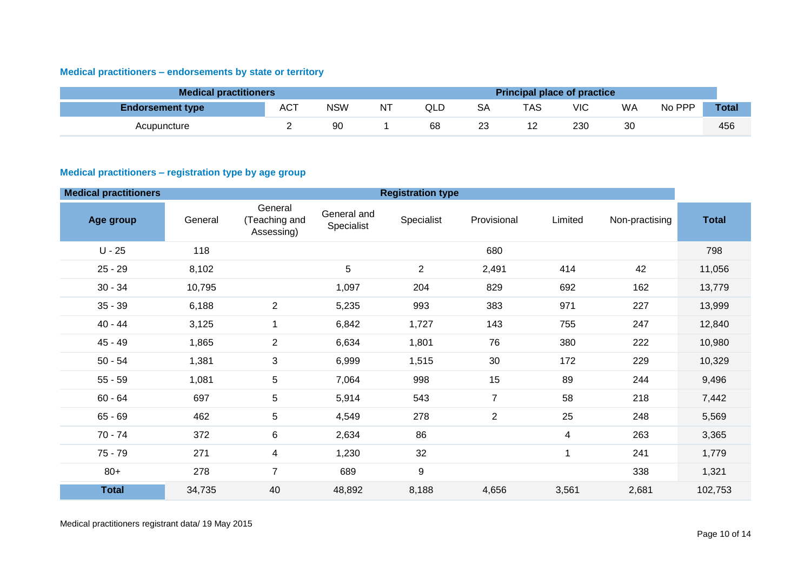# <span id="page-9-0"></span>**Medical practitioners – endorsements by state or territory**

| <b>Medical practitioners</b> |     |            |           |     |    | <b>Principal place of practice</b> |     |    |        |              |
|------------------------------|-----|------------|-----------|-----|----|------------------------------------|-----|----|--------|--------------|
| <b>Endorsement type</b>      | ACT | <b>NSW</b> | <b>NT</b> | QLD | SA | TAS                                | VIC | WA | No PPP | <b>Total</b> |
| Acupuncture                  |     | 90         |           | 68  | 23 |                                    | 230 | 30 |        | 456          |

#### <span id="page-9-1"></span>**Medical practitioners – registration type by age group**

| <b>Medical practitioners</b> |         |                                        |                           | <b>Registration type</b> |                |         |                |              |
|------------------------------|---------|----------------------------------------|---------------------------|--------------------------|----------------|---------|----------------|--------------|
| Age group                    | General | General<br>(Teaching and<br>Assessing) | General and<br>Specialist | Specialist               | Provisional    | Limited | Non-practising | <b>Total</b> |
| $U - 25$                     | 118     |                                        |                           |                          | 680            |         |                | 798          |
| $25 - 29$                    | 8,102   |                                        | 5                         | $\overline{c}$           | 2,491          | 414     | 42             | 11,056       |
| $30 - 34$                    | 10,795  |                                        | 1,097                     | 204                      | 829            | 692     | 162            | 13,779       |
| $35 - 39$                    | 6,188   | $\overline{2}$                         | 5,235                     | 993                      | 383            | 971     | 227            | 13,999       |
| $40 - 44$                    | 3,125   | 1                                      | 6,842                     | 1,727                    | 143            | 755     | 247            | 12,840       |
| $45 - 49$                    | 1,865   | $\overline{2}$                         | 6,634                     | 1,801                    | 76             | 380     | 222            | 10,980       |
| $50 - 54$                    | 1,381   | 3                                      | 6,999                     | 1,515                    | 30             | 172     | 229            | 10,329       |
| $55 - 59$                    | 1,081   | 5                                      | 7,064                     | 998                      | 15             | 89      | 244            | 9,496        |
| $60 - 64$                    | 697     | 5                                      | 5,914                     | 543                      | $\overline{7}$ | 58      | 218            | 7,442        |
| $65 - 69$                    | 462     | 5                                      | 4,549                     | 278                      | $\overline{2}$ | 25      | 248            | 5,569        |
| $70 - 74$                    | 372     | $\,6$                                  | 2,634                     | 86                       |                | 4       | 263            | 3,365        |
| $75 - 79$                    | 271     | $\overline{4}$                         | 1,230                     | 32                       |                | 1       | 241            | 1,779        |
| $80+$                        | 278     | $\overline{7}$                         | 689                       | 9                        |                |         | 338            | 1,321        |
| <b>Total</b>                 | 34,735  | 40                                     | 48,892                    | 8,188                    | 4,656          | 3,561   | 2,681          | 102,753      |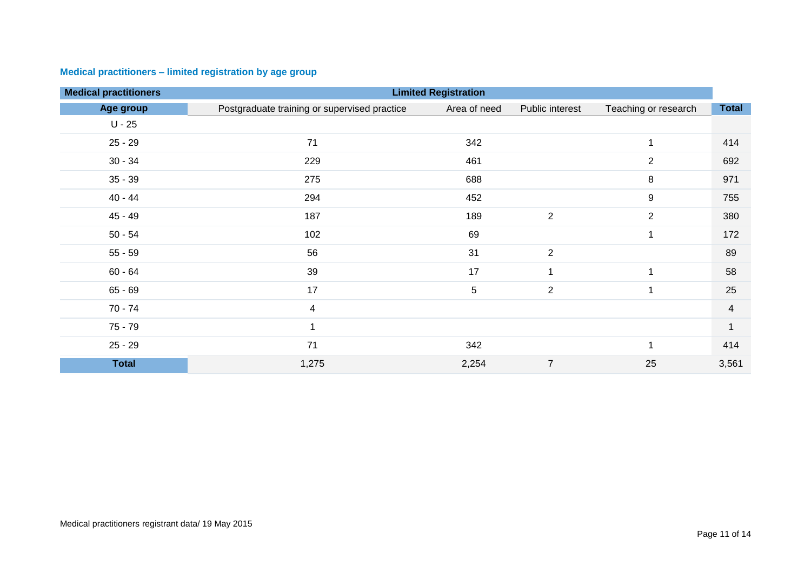| <b>Medical practitioners</b> |                                              | <b>Limited Registration</b> |                      |                      |                |
|------------------------------|----------------------------------------------|-----------------------------|----------------------|----------------------|----------------|
| Age group                    | Postgraduate training or supervised practice | Area of need                | Public interest      | Teaching or research | <b>Total</b>   |
| $U - 25$                     |                                              |                             |                      |                      |                |
| $25 - 29$                    | 71                                           | 342                         |                      | $\mathbf{1}$         | 414            |
| $30 - 34$                    | 229                                          | 461                         |                      | $\overline{2}$       | 692            |
| $35 - 39$                    | 275                                          | 688                         |                      | $\,8\,$              | 971            |
| $40 - 44$                    | 294                                          | 452                         |                      | 9                    | 755            |
| 45 - 49                      | 187                                          | 189                         | $\overline{2}$       | 2                    | 380            |
| $50 - 54$                    | 102                                          | 69                          |                      | 1                    | 172            |
| $55 - 59$                    | 56                                           | 31                          | $\overline{2}$       |                      | 89             |
| $60 - 64$                    | 39                                           | 17                          | $\blacktriangleleft$ | 1                    | 58             |
| $65 - 69$                    | 17                                           | 5                           | $\overline{c}$       | 1                    | 25             |
| $70 - 74$                    | 4                                            |                             |                      |                      | $\overline{4}$ |
| $75 - 79$                    |                                              |                             |                      |                      |                |
| $25 - 29$                    | 71                                           | 342                         |                      | 1                    | 414            |
| <b>Total</b>                 | 1,275                                        | 2,254                       | $\overline{7}$       | 25                   | 3,561          |

# <span id="page-10-0"></span>**Medical practitioners – limited registration by age group**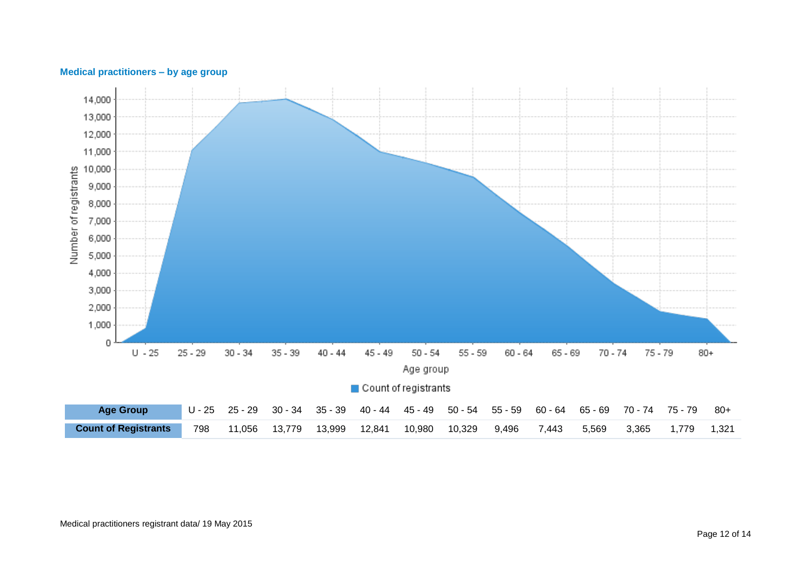

#### <span id="page-11-0"></span>**Medical practitioners – by age group**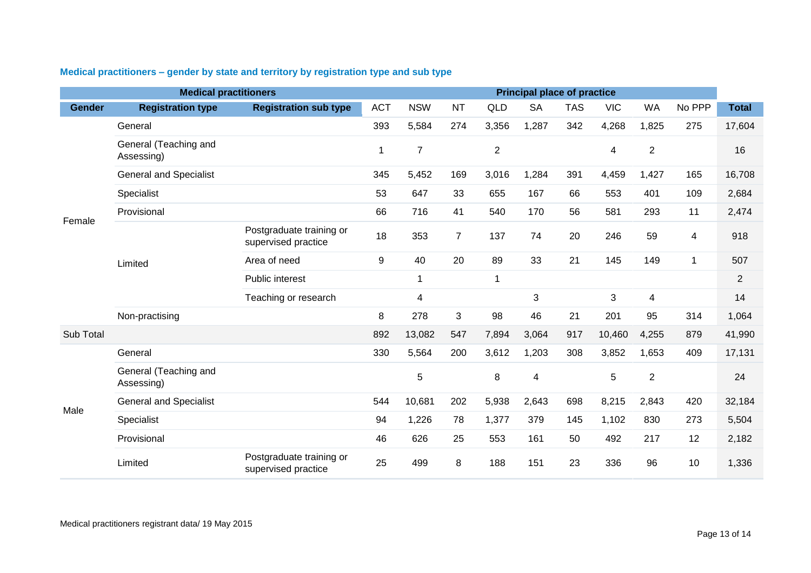|               | <b>Medical practitioners</b>        |                                                 |             |                |                |                | <b>Principal place of practice</b> |            |            |                         |        |                |
|---------------|-------------------------------------|-------------------------------------------------|-------------|----------------|----------------|----------------|------------------------------------|------------|------------|-------------------------|--------|----------------|
| <b>Gender</b> | <b>Registration type</b>            | <b>Registration sub type</b>                    | <b>ACT</b>  | <b>NSW</b>     | <b>NT</b>      | <b>QLD</b>     | <b>SA</b>                          | <b>TAS</b> | <b>VIC</b> | <b>WA</b>               | No PPP | <b>Total</b>   |
|               | General                             |                                                 | 393         | 5,584          | 274            | 3,356          | 1,287                              | 342        | 4,268      | 1,825                   | 275    | 17,604         |
|               | General (Teaching and<br>Assessing) |                                                 | $\mathbf 1$ | $\overline{7}$ |                | $\overline{2}$ |                                    |            | 4          | $\overline{2}$          |        | 16             |
|               | <b>General and Specialist</b>       |                                                 | 345         | 5,452          | 169            | 3,016          | 1,284                              | 391        | 4,459      | 1,427                   | 165    | 16,708         |
|               | Specialist                          |                                                 | 53          | 647            | 33             | 655            | 167                                | 66         | 553        | 401                     | 109    | 2,684          |
| Female        | Provisional                         |                                                 | 66          | 716            | 41             | 540            | 170                                | 56         | 581        | 293                     | 11     | 2,474          |
|               |                                     | Postgraduate training or<br>supervised practice | 18          | 353            | $\overline{7}$ | 137            | 74                                 | 20         | 246        | 59                      | 4      | 918            |
|               | Limited                             | Area of need                                    | 9           | 40             | 20             | 89             | 33                                 | 21         | 145        | 149                     | -1     | 507            |
|               |                                     | Public interest                                 |             | 1              |                | 1              |                                    |            |            |                         |        | $\overline{2}$ |
|               |                                     | Teaching or research                            |             | 4              |                |                | 3                                  |            | 3          | $\overline{\mathbf{4}}$ |        | 14             |
|               | Non-practising                      |                                                 | 8           | 278            | 3              | 98             | 46                                 | 21         | 201        | 95                      | 314    | 1,064          |
| Sub Total     |                                     |                                                 | 892         | 13,082         | 547            | 7,894          | 3,064                              | 917        | 10,460     | 4,255                   | 879    | 41,990         |
|               | General                             |                                                 | 330         | 5,564          | 200            | 3,612          | 1,203                              | 308        | 3,852      | 1,653                   | 409    | 17,131         |
|               | General (Teaching and<br>Assessing) |                                                 |             | 5              |                | 8              | 4                                  |            | 5          | $\overline{2}$          |        | 24             |
| Male          | <b>General and Specialist</b>       |                                                 | 544         | 10,681         | 202            | 5,938          | 2,643                              | 698        | 8,215      | 2,843                   | 420    | 32,184         |
|               | Specialist                          |                                                 | 94          | 1,226          | 78             | 1,377          | 379                                | 145        | 1,102      | 830                     | 273    | 5,504          |
|               | Provisional                         |                                                 | 46          | 626            | 25             | 553            | 161                                | 50         | 492        | 217                     | 12     | 2,182          |
|               | Limited                             | Postgraduate training or<br>supervised practice | 25          | 499            | 8              | 188            | 151                                | 23         | 336        | 96                      | 10     | 1,336          |

# <span id="page-12-0"></span>**Medical practitioners – gender by state and territory by registration type and sub type**